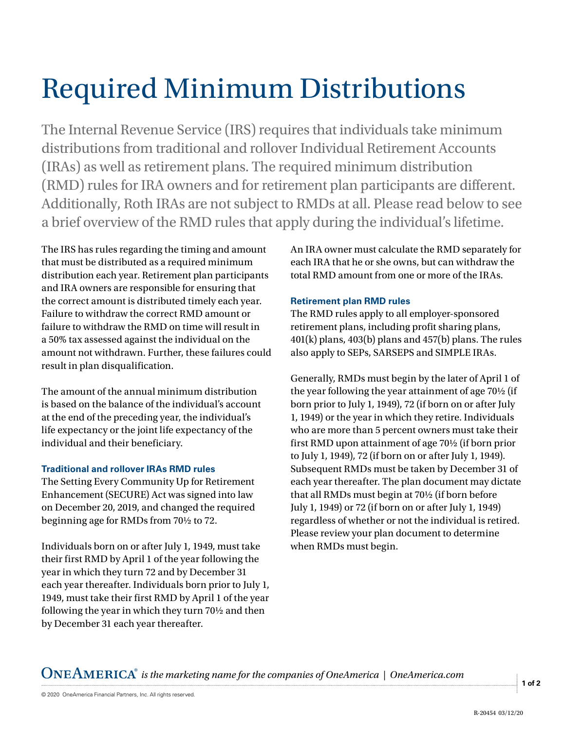## Required Minimum Distributions

The Internal Revenue Service (IRS) requires that individuals take minimum distributions from traditional and rollover Individual Retirement Accounts (IRAs) as well as retirement plans. The required minimum distribution (RMD) rules for IRA owners and for retirement plan participants are different. Additionally, Roth IRAs are not subject to RMDs at all. Please read below to see a brief overview of the RMD rules that apply during the individual's lifetime.

The IRS has rules regarding the timing and amount that must be distributed as a required minimum distribution each year. Retirement plan participants and IRA owners are responsible for ensuring that the correct amount is distributed timely each year. Failure to withdraw the correct RMD amount or failure to withdraw the RMD on time will result in a 50% tax assessed against the individual on the amount not withdrawn. Further, these failures could result in plan disqualification.

The amount of the annual minimum distribution is based on the balance of the individual's account at the end of the preceding year, the individual's life expectancy or the joint life expectancy of the individual and their beneficiary.

## **Traditional and rollover IRAs RMD rules**

The Setting Every Community Up for Retirement Enhancement (SECURE) Act was signed into law on December 20, 2019, and changed the required beginning age for RMDs from 70½ to 72.

Individuals born on or after July 1, 1949, must take their first RMD by April 1 of the year following the year in which they turn 72 and by December 31 each year thereafter. Individuals born prior to July 1, 1949, must take their first RMD by April 1 of the year following the year in which they turn 70½ and then by December 31 each year thereafter.

An IRA owner must calculate the RMD separately for each IRA that he or she owns, but can withdraw the total RMD amount from one or more of the IRAs.

## **Retirement plan RMD rules**

The RMD rules apply to all employer-sponsored retirement plans, including profit sharing plans, 401(k) plans, 403(b) plans and 457(b) plans. The rules also apply to SEPs, SARSEPS and SIMPLE IRAs.

Generally, RMDs must begin by the later of April 1 of the year following the year attainment of age 70½ (if born prior to July 1, 1949), 72 (if born on or after July 1, 1949) or the year in which they retire. Individuals who are more than 5 percent owners must take their first RMD upon attainment of age 70½ (if born prior to July 1, 1949), 72 (if born on or after July 1, 1949). Subsequent RMDs must be taken by December 31 of each year thereafter. The plan document may dictate that all RMDs must begin at 70½ (if born before July 1, 1949) or 72 (if born on or after July 1, 1949) regardless of whether or not the individual is retired. Please review your plan document to determine when RMDs must begin.

*is the marketing name for the companies of OneAmerica | OneAmerica.com*